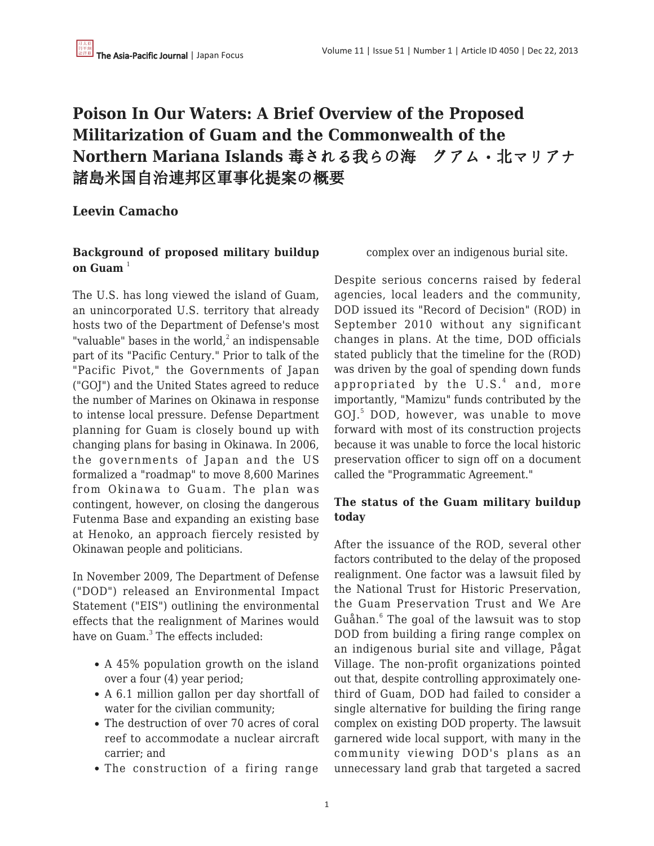# **Poison In Our Waters: A Brief Overview of the Proposed Militarization of Guam and the Commonwealth of the Northern Mariana Islands** 毒される我らの海 グアム・北マリアナ 諸島米国自治連邦区軍事化提案の概要

# **Leevin Camacho**

## **Background of proposed military buildup on Guam**<sup>1</sup>

The U.S. has long viewed the island of Guam, an unincorporated U.S. territory that already hosts two of the Department of Defense's most "valuable" bases in the world, $\lambda^2$  an indispensable part of its "Pacific Century." Prior to talk of the "Pacific Pivot," the Governments of Japan ("GOJ") and the United States agreed to reduce the number of Marines on Okinawa in response to intense local pressure. Defense Department planning for Guam is closely bound up with changing plans for basing in Okinawa. In 2006, the governments of Japan and the US formalized a "roadmap" to move 8,600 Marines from Okinawa to Guam. The plan was contingent, however, on closing the dangerous Futenma Base and expanding an existing base at Henoko, an approach fiercely resisted by Okinawan people and politicians.

In November 2009, The Department of Defense ("DOD") released an Environmental Impact Statement ("EIS") outlining the environmental effects that the realignment of Marines would have on Guam.<sup>3</sup> The effects included:

- A 45% population growth on the island over a four (4) year period;
- A 6.1 million gallon per day shortfall of water for the civilian community;
- The destruction of over 70 acres of coral reef to accommodate a nuclear aircraft carrier; and
- The construction of a firing range

complex over an indigenous burial site.

Despite serious concerns raised by federal agencies, local leaders and the community, DOD issued its "Record of Decision" (ROD) in September 2010 without any significant changes in plans. At the time, DOD officials stated publicly that the timeline for the (ROD) was driven by the goal of spending down funds appropriated by the U.S.<sup>4</sup> and, more importantly, "Mamizu" funds contributed by the GOJ.<sup>5</sup> DOD, however, was unable to move forward with most of its construction projects because it was unable to force the local historic preservation officer to sign off on a document called the "Programmatic Agreement."

### **The status of the Guam military buildup today**

After the issuance of the ROD, several other factors contributed to the delay of the proposed realignment. One factor was a lawsuit filed by the National Trust for Historic Preservation, the Guam Preservation Trust and We Are Guåhan.<sup>6</sup> The goal of the lawsuit was to stop DOD from building a firing range complex on an indigenous burial site and village, Pågat Village. The non-profit organizations pointed out that, despite controlling approximately onethird of Guam, DOD had failed to consider a single alternative for building the firing range complex on existing DOD property. The lawsuit garnered wide local support, with many in the community viewing DOD's plans as an unnecessary land grab that targeted a sacred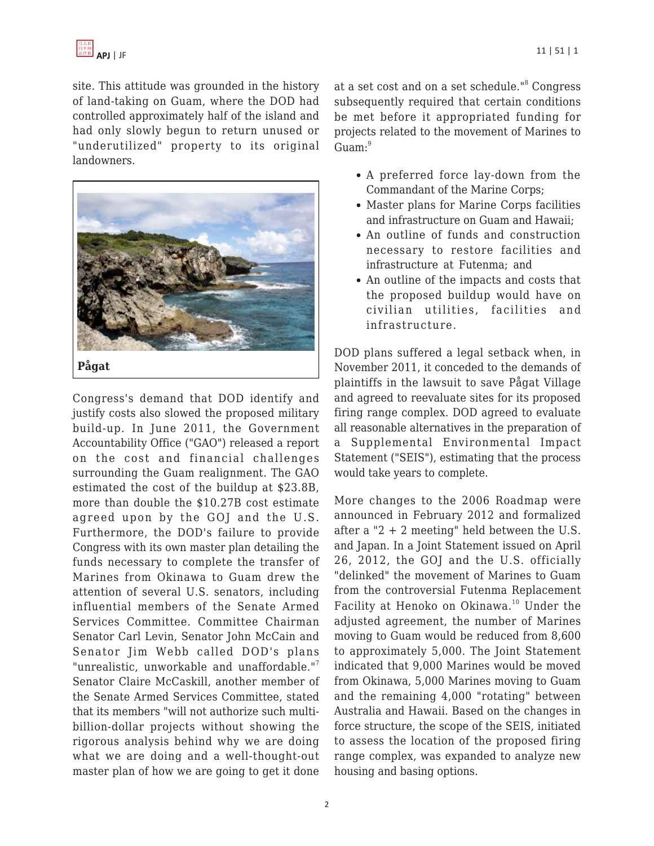

site. This attitude was grounded in the history of land-taking on Guam, where the DOD had controlled approximately half of the island and had only slowly begun to return unused or "underutilized" property to its original landowners.



Congress's demand that DOD identify and justify costs also slowed the proposed military build-up. In June 2011, the Government Accountability Office ("GAO") released a report on the cost and financial challenges surrounding the Guam realignment. The GAO estimated the cost of the buildup at \$23.8B, more than double the \$10.27B cost estimate agreed upon by the GOJ and the U.S. Furthermore, the DOD's failure to provide Congress with its own master plan detailing the funds necessary to complete the transfer of Marines from Okinawa to Guam drew the attention of several U.S. senators, including influential members of the Senate Armed Services Committee. Committee Chairman Senator Carl Levin, Senator John McCain and Senator Jim Webb called DOD's plans "unrealistic, unworkable and unaffordable."<sup>7</sup> Senator Claire McCaskill, another member of the Senate Armed Services Committee, stated that its members "will not authorize such multibillion-dollar projects without showing the rigorous analysis behind why we are doing what we are doing and a well-thought-out master plan of how we are going to get it done

at a set cost and on a set schedule."<sup>8</sup> Congress subsequently required that certain conditions be met before it appropriated funding for projects related to the movement of Marines to  $Guan:<sup>9</sup>$ 

- A preferred force lay-down from the Commandant of the Marine Corps;
- Master plans for Marine Corps facilities and infrastructure on Guam and Hawaii;
- An outline of funds and construction necessary to restore facilities and infrastructure at Futenma; and
- An outline of the impacts and costs that the proposed buildup would have on civilian utilities, facilities and infrastructure.

DOD plans suffered a legal setback when, in November 2011, it conceded to the demands of plaintiffs in the lawsuit to save Pågat Village and agreed to reevaluate sites for its proposed firing range complex. DOD agreed to evaluate all reasonable alternatives in the preparation of a Supplemental Environmental Impact Statement ("SEIS"), estimating that the process would take years to complete.

More changes to the 2006 Roadmap were announced in February 2012 and formalized after a "2 + 2 meeting" held between the U.S. and Japan. In a Joint Statement issued on April 26, 2012, the GOJ and the U.S. officially "delinked" the movement of Marines to Guam from the controversial Futenma Replacement Facility at Henoko on Okinawa.<sup>10</sup> Under the adjusted agreement, the number of Marines moving to Guam would be reduced from 8,600 to approximately 5,000. The Joint Statement indicated that 9,000 Marines would be moved from Okinawa, 5,000 Marines moving to Guam and the remaining 4,000 "rotating" between Australia and Hawaii. Based on the changes in force structure, the scope of the SEIS, initiated to assess the location of the proposed firing range complex, was expanded to analyze new housing and basing options.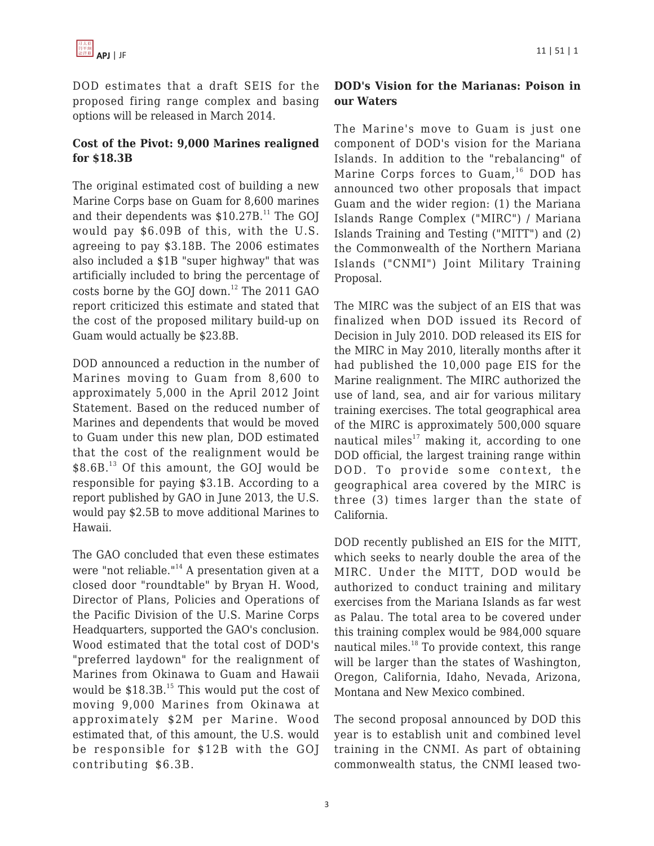DOD estimates that a draft SEIS for the proposed firing range complex and basing options will be released in March 2014.

## **Cost of the Pivot: 9,000 Marines realigned for \$18.3B**

The original estimated cost of building a new Marine Corps base on Guam for 8,600 marines and their dependents was  $$10.27B<sup>11</sup>$  The GOJ would pay \$6.09B of this, with the U.S. agreeing to pay \$3.18B. The 2006 estimates also included a \$1B "super highway" that was artificially included to bring the percentage of costs borne by the GOJ down.<sup>12</sup> The 2011 GAO report criticized this estimate and stated that the cost of the proposed military build-up on Guam would actually be \$23.8B.

DOD announced a reduction in the number of Marines moving to Guam from 8,600 to approximately 5,000 in the April 2012 Joint Statement. Based on the reduced number of Marines and dependents that would be moved to Guam under this new plan, DOD estimated that the cost of the realignment would be  $$8.6B<sup>13</sup>$  Of this amount, the GOJ would be responsible for paying \$3.1B. According to a report published by GAO in June 2013, the U.S. would pay \$2.5B to move additional Marines to Hawaii.

The GAO concluded that even these estimates were "not reliable."<sup>14</sup> A presentation given at a closed door "roundtable" by Bryan H. Wood, Director of Plans, Policies and Operations of the Pacific Division of the U.S. Marine Corps Headquarters, supported the GAO's conclusion. Wood estimated that the total cost of DOD's "preferred laydown" for the realignment of Marines from Okinawa to Guam and Hawaii would be  $$18.3B.<sup>15</sup>$  This would put the cost of moving 9,000 Marines from Okinawa at approximately \$2M per Marine. Wood estimated that, of this amount, the U.S. would be responsible for \$12B with the GOJ contributing \$6.3B.

#### **DOD's Vision for the Marianas: Poison in our Waters**

The Marine's move to Guam is just one component of DOD's vision for the Mariana Islands. In addition to the "rebalancing" of Marine Corps forces to  $Guan^{16}$  DOD has announced two other proposals that impact Guam and the wider region: (1) the Mariana Islands Range Complex ("MIRC") / Mariana Islands Training and Testing ("MITT") and (2) the Commonwealth of the Northern Mariana Islands ("CNMI") Joint Military Training Proposal.

The MIRC was the subject of an EIS that was finalized when DOD issued its Record of Decision in July 2010. DOD released its EIS for the MIRC in May 2010, literally months after it had published the 10,000 page EIS for the Marine realignment. The MIRC authorized the use of land, sea, and air for various military training exercises. The total geographical area of the MIRC is approximately 500,000 square nautical miles $17$  making it, according to one DOD official, the largest training range within DOD. To provide some context, the geographical area covered by the MIRC is three (3) times larger than the state of California.

DOD recently published an EIS for the MITT, which seeks to nearly double the area of the MIRC. Under the MITT, DOD would be authorized to conduct training and military exercises from the Mariana Islands as far west as Palau. The total area to be covered under this training complex would be 984,000 square nautical miles.<sup>18</sup> To provide context, this range will be larger than the states of Washington, Oregon, California, Idaho, Nevada, Arizona, Montana and New Mexico combined.

The second proposal announced by DOD this year is to establish unit and combined level training in the CNMI. As part of obtaining commonwealth status, the CNMI leased two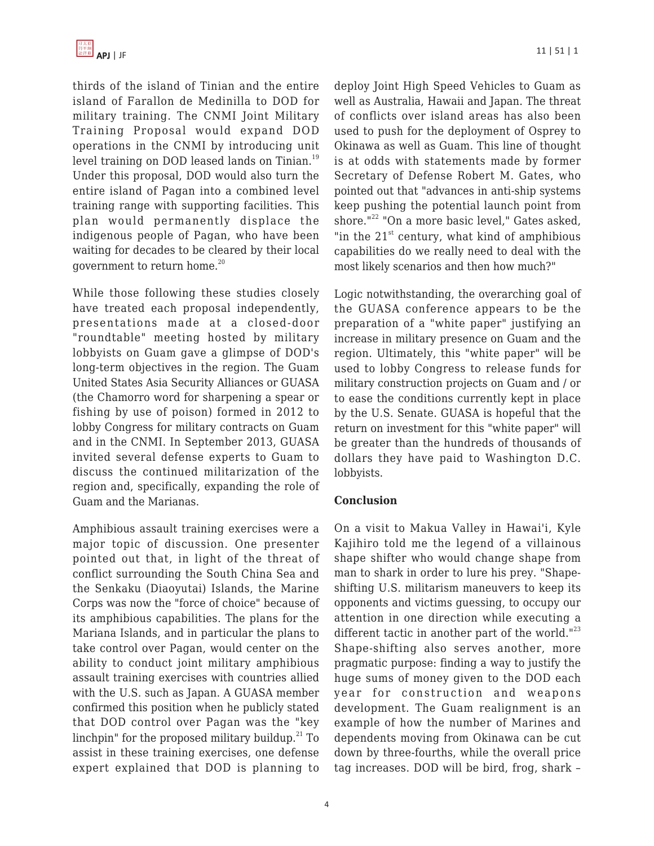thirds of the island of Tinian and the entire island of Farallon de Medinilla to DOD for military training. The CNMI Joint Military Training Proposal would expand DOD operations in the CNMI by introducing unit level training on DOD leased lands on Tinian.<sup>19</sup> Under this proposal, DOD would also turn the entire island of Pagan into a combined level training range with supporting facilities. This plan would permanently displace the indigenous people of Pagan, who have been waiting for decades to be cleared by their local government to return home.<sup>20</sup>

While those following these studies closely have treated each proposal independently, presentations made at a closed-door "roundtable" meeting hosted by military lobbyists on Guam gave a glimpse of DOD's long-term objectives in the region. The Guam United States Asia Security Alliances or GUASA (the Chamorro word for sharpening a spear or fishing by use of poison) formed in 2012 to lobby Congress for military contracts on Guam and in the CNMI. In September 2013, GUASA invited several defense experts to Guam to discuss the continued militarization of the region and, specifically, expanding the role of Guam and the Marianas.

Amphibious assault training exercises were a major topic of discussion. One presenter pointed out that, in light of the threat of conflict surrounding the South China Sea and the Senkaku (Diaoyutai) Islands, the Marine Corps was now the "force of choice" because of its amphibious capabilities. The plans for the Mariana Islands, and in particular the plans to take control over Pagan, would center on the ability to conduct joint military amphibious assault training exercises with countries allied with the U.S. such as Japan. A GUASA member confirmed this position when he publicly stated that DOD control over Pagan was the "key linchpin" for the proposed military buildup. $^{21}$  To assist in these training exercises, one defense expert explained that DOD is planning to deploy Joint High Speed Vehicles to Guam as well as Australia, Hawaii and Japan. The threat of conflicts over island areas has also been used to push for the deployment of Osprey to Okinawa as well as Guam. This line of thought is at odds with statements made by former Secretary of Defense Robert M. Gates, who pointed out that "advances in anti-ship systems keep pushing the potential launch point from shore."<sup>22</sup> "On a more basic level," Gates asked, "in the  $21<sup>st</sup>$  century, what kind of amphibious capabilities do we really need to deal with the most likely scenarios and then how much?"

Logic notwithstanding, the overarching goal of the GUASA conference appears to be the preparation of a "white paper" justifying an increase in military presence on Guam and the region. Ultimately, this "white paper" will be used to lobby Congress to release funds for military construction projects on Guam and / or to ease the conditions currently kept in place by the U.S. Senate. GUASA is hopeful that the return on investment for this "white paper" will be greater than the hundreds of thousands of dollars they have paid to Washington D.C. lobbyists.

#### **Conclusion**

On a visit to Makua Valley in Hawai'i, Kyle Kajihiro told me the legend of a villainous shape shifter who would change shape from man to shark in order to lure his prey. "Shapeshifting U.S. militarism maneuvers to keep its opponents and victims guessing, to occupy our attention in one direction while executing a different tactic in another part of the world."<sup>23</sup> Shape-shifting also serves another, more pragmatic purpose: finding a way to justify the huge sums of money given to the DOD each year for construction and weapons development. The Guam realignment is an example of how the number of Marines and dependents moving from Okinawa can be cut down by three-fourths, while the overall price tag increases. DOD will be bird, frog, shark –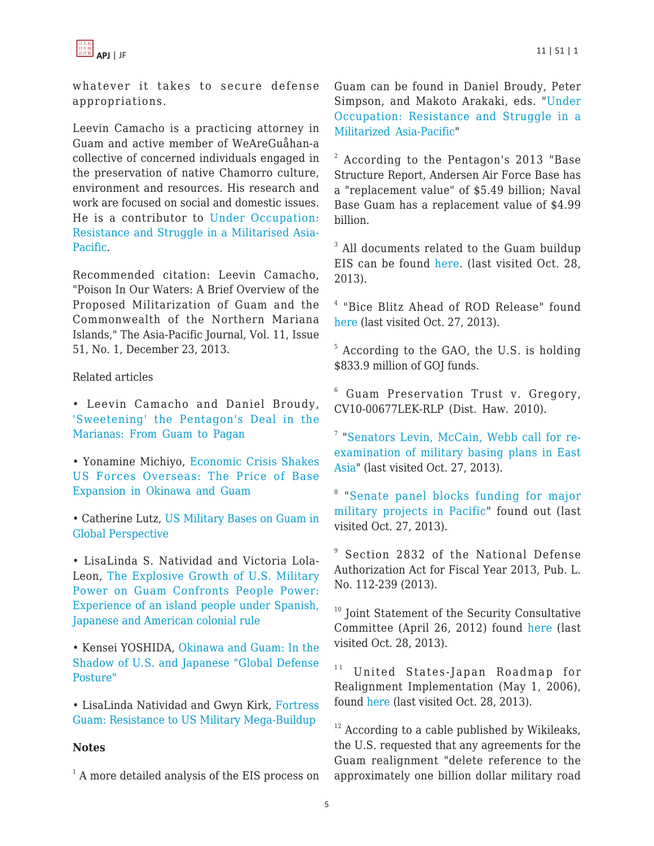

whatever it takes to secure defense appropriations.

Leevin Camacho is a practicing attorney in Guam and active member of WeAreGuåhan-a collective of concerned individuals engaged in the preservation of native Chamorro culture, environment and resources. His research and work are focused on social and domestic issues. He is a contributor to [Under Occupation:](http://www.c-s-p.org/Flyers/Under-Occupation--Resistance-and-Struggle-in-a-Militarised-Asia-Pacific1-4438-4750-X.htm) [Resistance and Struggle in a Militarised Asia-](http://www.c-s-p.org/Flyers/Under-Occupation--Resistance-and-Struggle-in-a-Militarised-Asia-Pacific1-4438-4750-X.htm)[Pacific](http://www.c-s-p.org/Flyers/Under-Occupation--Resistance-and-Struggle-in-a-Militarised-Asia-Pacific1-4438-4750-X.htm).

Recommended citation: Leevin Camacho, "Poison In Our Waters: A Brief Overview of the Proposed Militarization of Guam and the Commonwealth of the Northern Mariana Islands," The Asia-Pacific Journal, Vol. 11, Issue 51, No. 1, December 23, 2013.

Related articles

• Leevin Camacho and Daniel Broudy, ['Sweetening' the Pentagon's Deal in the](https://apjjf.org/-Leevin-Camacho/3963) [Marianas: From Guam to Pagan](https://apjjf.org/-Leevin-Camacho/3963)

• Yonamine Michiyo, [Economic Crisis Shakes](https://apjjf.org/-Yonamine-Michiyo/3494) [US Forces Overseas: The Price of Base](https://apjjf.org/-Yonamine-Michiyo/3494) [Expansion in Okinawa and Guam](https://apjjf.org/-Yonamine-Michiyo/3494)

• Catherine Lutz, [US Military Bases on Guam in](https://apjjf.org/-Catherine-Lutz/3389) [Global Perspective](https://apjjf.org/-Catherine-Lutz/3389)

• LisaLinda S. Natividad and Victoria Lola-Leon, [The Explosive Growth of U.S. Military](https://apjjf.org/-Victoria_Lola_Leon-Guerrero/3454) [Power on Guam Confronts People Power:](https://apjjf.org/-Victoria_Lola_Leon-Guerrero/3454) [Experience of an island people under Spanish,](https://apjjf.org/-Victoria_Lola_Leon-Guerrero/3454) [Japanese and American colonial rule](https://apjjf.org/-Victoria_Lola_Leon-Guerrero/3454)

• Kensei YOSHIDA, [Okinawa and Guam: In the](https://apjjf.org/-Yoshida-Kensei/3378) [Shadow of U.S. and Japanese "Global Defense](https://apjjf.org/-Yoshida-Kensei/3378) [Posture"](https://apjjf.org/-Yoshida-Kensei/3378)

• LisaLinda Natividad and Gwyn Kirk, [Fortress](https://apjjf.org/-Gwyn-Kirk/3356) [Guam: Resistance to US Military Mega-Buildup](https://apjjf.org/-Gwyn-Kirk/3356)

#### **Notes**

<sup>1</sup> A more detailed analysis of the EIS process on

Guam can be found in Daniel Broudy, Peter Simpson, and Makoto Arakaki, eds. "[Under](http://www.c-s-p.org/Flyers/Under-Occupation--Resistance-and-Struggle-in-a-Militarised-Asia-Pacific1-4438-4750-X.htm) [Occupation: Resistance and Struggle in a](http://www.c-s-p.org/Flyers/Under-Occupation--Resistance-and-Struggle-in-a-Militarised-Asia-Pacific1-4438-4750-X.htm) [Militarized Asia-Pacific](http://www.c-s-p.org/Flyers/Under-Occupation--Resistance-and-Struggle-in-a-Militarised-Asia-Pacific1-4438-4750-X.htm)"

 $2$  According to the Pentagon's 2013 "Base Structure Report, Andersen Air Force Base has a "replacement value" of \$5.49 billion; Naval Base Guam has a replacement value of \$4.99 billion.

 $3$  All documents related to the Guam buildup EIS can be found [here](http://guambuildupeis.us/documents). (last visited Oct. 28, 2013).

4 "Bice Blitz Ahead of ROD Release" found [here](http://www.pacificnewscenter.com/index.php?option=com_content&view=article&id=7976:archbishop-changes-his-mind-and-decides-to-allow-public-attendance-at-friary-masses&catid=34:guam&Itemid=141) (last visited Oct. 27, 2013).

<sup>5</sup> According to the GAO, the U.S. is holding \$833.9 million of GOJ funds.

6 Guam Preservation Trust v. Gregory, CV10-00677LEK-RLP (Dist. Haw. 2010).

7 ["Senators Levin, McCain, Webb call for re](http://www.mccain.senate.gov/public/index.cfm?FuseAction=PressOffice.PressReleases&ContentRecord_id=e00453cd-c883-65d2-f9c3-489463b38af1)[examination of military basing plans in East](http://www.mccain.senate.gov/public/index.cfm?FuseAction=PressOffice.PressReleases&ContentRecord_id=e00453cd-c883-65d2-f9c3-489463b38af1) [Asia](http://www.mccain.senate.gov/public/index.cfm?FuseAction=PressOffice.PressReleases&ContentRecord_id=e00453cd-c883-65d2-f9c3-489463b38af1)" (last visited Oct. 27, 2013).

<sup>8</sup> "[Senate panel blocks funding for major](http://www.stripes.com/news/pacific/senate-panel-blocks-funding-for-major-military-projects-in-pacific-1.146637) [military projects in Pacific"](http://www.stripes.com/news/pacific/senate-panel-blocks-funding-for-major-military-projects-in-pacific-1.146637) found out (last visited Oct. 27, 2013).

9 Section 2832 of the National Defense Authorization Act for Fiscal Year 2013, Pub. L. No. 112-239 (2013).

 $10$  Joint Statement of the Security Consultative Committee (April 26, 2012) found [here](http://www.state.gov/r/pa/prs/ps/2012/04/188586.htm) (last visited Oct. 28, 2013).

<sup>11</sup> United States-Japan Roadmap for Realignment Implementation (May 1, 2006), found [here](http://www.mofa.go.jp/region/n-america/us/security/scc/doc0605.html) (last visited Oct. 28, 2013).

 $12$  According to a cable published by Wikileaks, the U.S. requested that any agreements for the Guam realignment "delete reference to the approximately one billion dollar military road